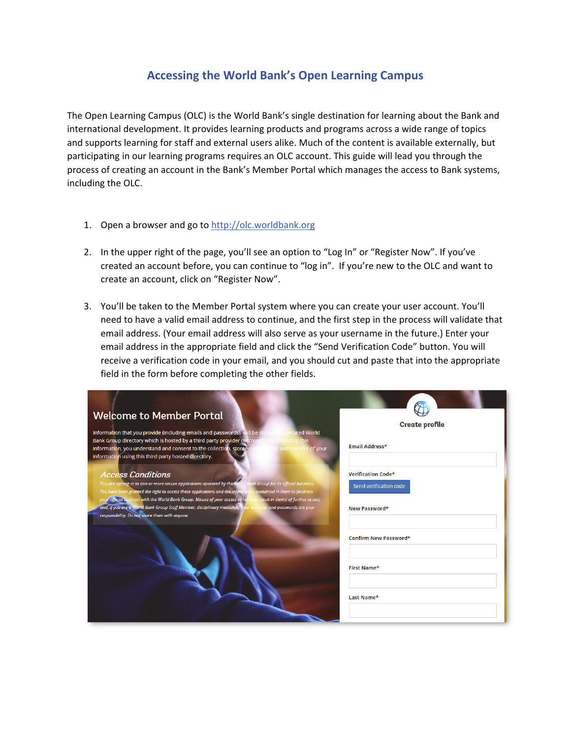## **Accessing the World Bank's Open Learning Campus**

The Open Learning Campus (OLC) is the World Bank's single destination for learning about the Bank and international development. It provides learning products and programs across a wide range of topics and supports learning for staff and external users alike. Much of the content is available externally, but participating in our learning programs requires an OLC account. This guide will lead you through the process of creating an account in the Bank's Member Portal which manages the access to Bank systems, including the OLC.

- 1. Open a browser and go to http://olc.worldbank.org
- 2. In the upper right of the page, you'll see an option to "Log In" or "Register Now". If you've created an account before, you can continue to "log in". If you're new to the OLC and want to create an account, click on "Register Now".
- 3. You'll be taken to the Member Portal system where you can create your user account. You'll need to have a valid email address to continue, and the first step in the process will validate that email address. (Your email address will also serve as your username in the future.) Enter your email address in the appropriate field and click the "Send Verification Code" button. You will receive a verification code in your email, and you should cut and paste that into the appropriate field in the form before completing the other fields.

| <b>Welcome to Member Portal</b>                                                                                                                                                                                                        |                           |
|----------------------------------------------------------------------------------------------------------------------------------------------------------------------------------------------------------------------------------------|---------------------------|
|                                                                                                                                                                                                                                        | <b>Create profile</b>     |
| Information that you provide (including emails and passwords), will be stor<br>secured World                                                                                                                                           |                           |
| Bank Group directory which is hosted by a third party provider (Microsoft)<br>providing this<br>information, you understand and consent to the collection, storage, or<br>ig and transfer of your                                      | Email Address*            |
| information using this third party hosted directory.                                                                                                                                                                                   |                           |
| <b>Access Conditions</b>                                                                                                                                                                                                               | <b>Verification Code*</b> |
| You are signing-in to one or more secure applications operated by the World Bank Group for its official business.<br>You have been granted the right to access these applications and the information contained in them to facilitate  | Send verification code    |
| your official business with the World Bank Group. Misuse of your access rights may result in denial of further access,<br>and, if you are a World Bank Group Staff Member, disciplinary measures. Your accounts and passwords are your | New Password*             |
| responsibility. Do not share them with anyone.                                                                                                                                                                                         | Confirm New Password*     |
|                                                                                                                                                                                                                                        | <b>First Name*</b>        |
|                                                                                                                                                                                                                                        | Last Name*                |